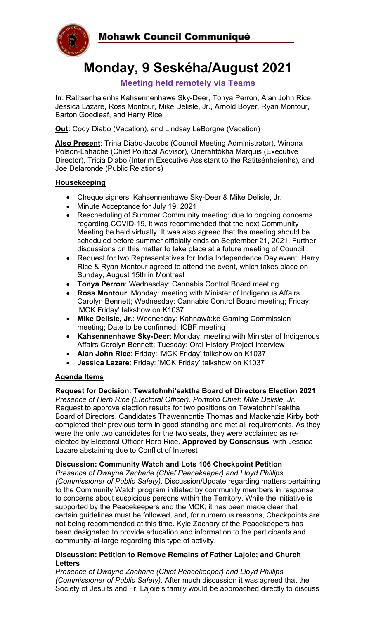

# **Monday, 9 Seskéha/August 2021**

# **Meeting held remotely via Teams**

**In**: Ratitsénhaienhs Kahsennenhawe Sky-Deer, Tonya Perron, Alan John Rice, Jessica Lazare, Ross Montour, Mike Delisle, Jr., Arnold Boyer, Ryan Montour, Barton Goodleaf, and Harry Rice

**Out:** Cody Diabo (Vacation), and Lindsay LeBorgne (Vacation)

**Also Present**: Trina Diabo-Jacobs (Council Meeting Administrator), Winona Polson-Lahache (Chief Political Advisor), Onerahtókha Marquis (Executive Director), Tricia Diabo (Interim Executive Assistant to the Ratitsénhaienhs), and Joe Delaronde (Public Relations)

### **Housekeeping**

- Cheque signers: Kahsennenhawe Sky-Deer & Mike Delisle, Jr.
- Minute Acceptance for July 19, 2021
- Rescheduling of Summer Community meeting: due to ongoing concerns regarding COVID-19, it was recommended that the next Community Meeting be held virtually. It was also agreed that the meeting should be scheduled before summer officially ends on September 21, 2021. Further discussions on this matter to take place at a future meeting of Council
- Request for two Representatives for India Independence Day event: Harry Rice & Ryan Montour agreed to attend the event, which takes place on Sunday, August 15th in Montreal
- **Tonya Perron**: Wednesday: Cannabis Control Board meeting
- **Ross Montour**: Monday: meeting with Minister of Indigenous Affairs Carolyn Bennett; Wednesday: Cannabis Control Board meeting; Friday: 'MCK Friday' talkshow on K1037
- **Mike Delisle, Jr.**: Wednesday: Kahnawà:ke Gaming Commission meeting; Date to be confirmed: ICBF meeting
- **Kahsennenhawe Sky-Deer**: Monday: meeting with Minister of Indigenous Affairs Carolyn Bennett; Tuesday: Oral History Project interview
- **Alan John Rice**: Friday: 'MCK Friday' talkshow on K1037
- **Jessica Lazare**: Friday: 'MCK Friday' talkshow on K1037

# **Agenda Items**

#### **Request for Decision: Tewatohnhi'saktha Board of Directors Election 2021**

*Presence of Herb Rice (Electoral Officer). Portfolio Chief: Mike Delisle, Jr.* Request to approve election results for two positions on Tewatohnhi'saktha Board of Directors. Candidates Thawennontie Thomas and Mackenzie Kirby both completed their previous term in good standing and met all requirements. As they were the only two candidates for the two seats, they were acclaimed as reelected by Electoral Officer Herb Rice. **Approved by Consensus**, with Jessica Lazare abstaining due to Conflict of Interest

#### **Discussion: Community Watch and Lots 106 Checkpoint Petition**

*Presence of Dwayne Zacharie (Chief Peacekeeper) and Lloyd Phillips (Commissioner of Public Safety).* Discussion/Update regarding matters pertaining to the Community Watch program initiated by community members in response to concerns about suspicious persons within the Territory. While the initiative is supported by the Peacekeepers and the MCK, it has been made clear that certain guidelines must be followed, and, for numerous reasons, Checkpoints are not being recommended at this time. Kyle Zachary of the Peacekeepers has been designated to provide education and information to the participants and community-at-large regarding this type of activity.

#### **Discussion: Petition to Remove Remains of Father Lajoie; and Church Letters**

*Presence of Dwayne Zacharie (Chief Peacekeeper) and Lloyd Phillips (Commissioner of Public Safety).* After much discussion it was agreed that the Society of Jesuits and Fr, Lajoie's family would be approached directly to discuss